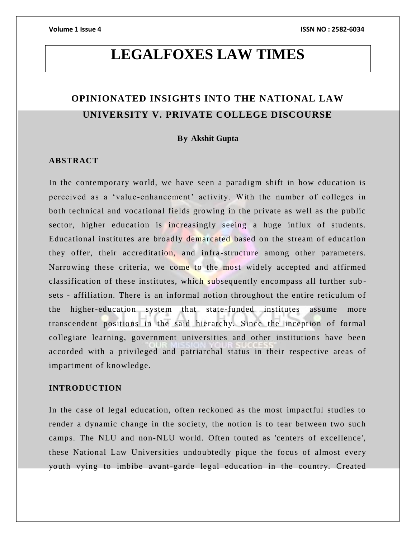# **LEGALFOXES LAW TIMES**

# **OPINIONATED INSIGHTS INTO THE NATIONAL LAW UNIVERSITY V. PRIVATE COLLEGE DISCOURSE**

# **By Akshit Gupta**

# **ABSTRACT**

In the contemporary world, we have seen a paradigm shift in how education is perceived as a 'value-enhancement' activity. With the number of colleges in both technical and vocational fields growing in the private as well as the public sector, higher education is increasingly seeing a huge influx of students. Educational institutes are broadly demarcated based on the stream of education they offer, their accreditation, and infra-structure among other parameters. Narrowing these criteria, we come to the most widely accepted and affirmed classification of these institutes, which subsequently encompass all further sub sets - affiliation. There is an informal notion throughout the entire reticulum of the higher-education system that state-funded institutes assume more transcendent positions in the said hierarchy. Since the inception of formal collegiate learning, government universities and other institutions have been accorded with a privileged and patriarchal status in their respective areas of impartment of knowledge.

# **INTRODUCTION**

In the case of legal education, often reckoned as the most impactful studies to render a dynamic change in the society, the notion is to tear between two such camps. The NLU and non-NLU world. Often touted as 'centers of excellence', these National Law Universities undoubtedly pique the focus of almost every youth vying to imbibe avant-garde legal education in the country. Created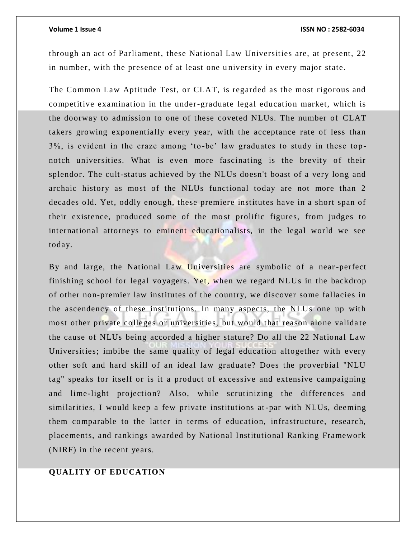through an act of Parliament, these National Law Universities are, at present, 22 in number, with the presence of at least one u niversity in every major state.

The Common Law Aptitude Test, or CLAT, is regarded as the most rigorous and competitive examination in the under-graduate legal education market, which is the doorway to admission to one of these coveted NLUs. The number of CLAT takers growing exponentially every year, with the acceptance rate of less than 3%, is evident in the craze among 'to -be' law graduates to study in these topnotch universities. What is even more fascinating is the brevity of their splendor. The cult-status achieved by the NLUs doesn't boast of a very long and archaic history as most of the NLUs functional today are not more than 2 decades old. Yet, oddly enough, these premiere institutes have in a short span of their existence, produced some of the most prolific figures, from judges to international attorneys to eminent educationalists, in the legal world we see today.

By and large, the National Law Universities are symbolic of a near-perfect finishing school for legal voyagers. Yet, when we regard NLUs in the backdrop of other non-premier law institutes of the country, we discover some fallacies in the ascendency of these institutions. In many aspects, the NLUs one up with most other private colleges or universities, but would that reason alone validate the cause of NLUs being accorded a higher stature? Do all the 22 National Law Universities; imbibe the same quality of legal education altogether with every other soft and hard skill of an ideal law graduate? Does the proverbial "NLU tag" speaks for itself or is it a product of excessive and extensive campaigning and lime-light projection? Also, while scrutinizing the differences and similarities, I would keep a few private institutions at -par with NLUs, deeming them comparable to the latter in terms of education, infrastructure, research, placements, and rankings awarded by National Institutional Ranking Framework (NIRF) in the recent years.

# **QUALITY OF EDUCATION**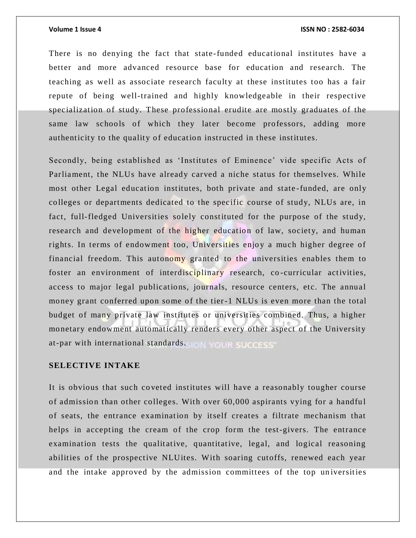There is no denying the fact that state-funded educational institutes have a better and more advanced resource base for education and research. The teaching as well as associate research faculty at these institutes too has a fair repute of being well-trained and highly knowledgeable in their respective specialization of study. These professional erudite are mostly graduates of the same law schools of which they later become professors, adding more authenticity to the quality of education instructed in these institutes.

Secondly, being established as 'Institutes of Eminence' vide specific Acts of Parliament, the NLUs have already carved a niche status for themselves. While most other Legal education institutes, both private and state -funded, are only colleges or departments dedicated to the specific course of study, NLUs are, in fact, full-fledged Universities solely constituted for the purpose of the study, research and development of the higher education of law, society, and human rights. In terms of endowment too, Universities enjoy a much higher degree of financial freedom. This autonomy granted to the universities enables them to foster an environment of interdisciplinary research, co-curricular activities, access to major legal publications, journals, resource centers, etc. The annual money grant conferred upon some of the tier-1 NLUs is even more than the total budget of many private law institutes or universities combined. Thus, a higher monetary endowment automatically renders every other aspect of the University at-par with international standards. The Your SUCCESS

# **SELECTIVE INTAKE**

It is obvious that such co veted institutes will have a reasonably tougher course of admission than other colleges. With over 60,000 aspirants vying for a handful of seats, the entrance examination by itself creates a filtrate mechanism that helps in accepting the cream of the crop form the test-givers. The entrance examination tests the qualitative, quantitative, legal, and logical reasoning abilities of the prospective NLUites. With soaring cutoffs, renewed each year and the intake approved by the admission committees of the top universities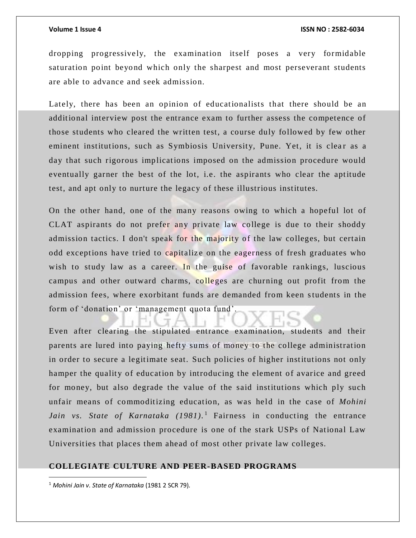dropping progressively, the examination itself poses a very formidable saturation point beyond which only the sharpest and most perseverant students are able to advance and seek admission.

Lately, there has been an opinion of educationalists that there should be an additional interview post the entrance exam to further assess the competence of those students who cleared the written test, a course duly followed by few other eminent institutions, such as Symbiosis University, Pune. Yet, it is clear as a day that such rigorous implications imposed on the admission procedure would eventually garner the best of the lot, i.e. the aspirants who clear the aptitude test, and apt only to nurture the legacy of these illustrious institutes.

On the other hand, one of the many reasons owing to which a hopeful lot of CLAT aspirants do not prefer any private law college is due to their shoddy admission tactics. I don't speak for the majority of the law colleges, but certain odd exceptions have tried to capitalize on the eagerness of fresh graduates who wish to study law as a career. In the guise of favorable rankings, luscious campus and other outward charms, colleges are churning out profit from the admission fees, where exorbitant funds are demanded from keen students in the form of 'donation' or 'management quota fund'.

Even after clearing the stipulated entrance examination, students and their parents are lured into paying hefty sums of money to the college administration in order to secure a legitimate seat. Such policies of higher institutions not only hamper the quality of education by introducing the element of avarice and greed for money, but also degrade the value of the said institutions which ply such unfair means of commoditizing education, as was held in the case of *Mohini Jain vs. State of Karnataka (1981)*.<sup>1</sup> Fairness in conducting the entrance examination and admission procedure is one of the stark USPs of National Law Universities that places them ahead of most other private law colleges.

### **COLLEGIATE CULTURE AND PEER-BASED PROGRAMS**

<sup>1</sup> *Mohini Jain v. State of Karnataka* (1981 2 SCR 79)*.*

 $\overline{a}$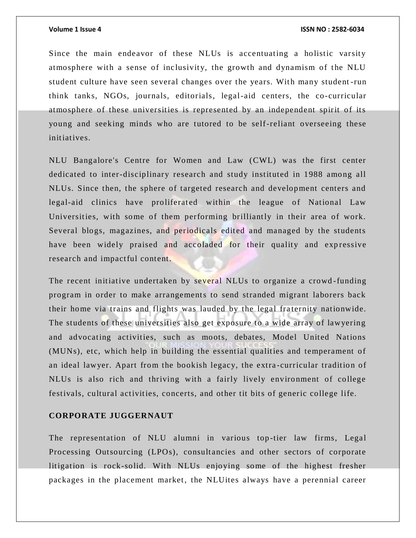Since the main endeavor of these NLUs is accentuating a holistic varsity atmosphere with a sense of inclusivity, the growth and dynamism of the NLU student culture have seen several changes over the years. With many student -run think tanks, NGOs, journals, editorials, legal-aid centers, the co-curricular atmosphere of these universities is represented by an independent spirit of its young and seeking minds who are tutored to be self-reliant overseeing these initiatives.

NLU Bangalore's Centre for Women and Law (CWL) was the first center dedicated to inter-disciplinary research and study instituted in 1988 among all NLUs. Since then, the sphere of targeted research and development centers and legal-aid clinics have proliferated within the league of National Law Universities, with some of them performing brilliantly in their area of work. Several blogs, magazines, and periodicals edited and managed by the students have been widely praised and accoladed for their quality and expressive research and impactful content.

The recent initiative undertaken by several NLUs to organize a crowd-funding program in order to make arrangements to send stranded migrant laborers back their home via trains and flights was lauded by the legal fraternity nationwide. The students of these universities also get exposure to a wide array of lawyering and advocating activities, such as moots, debates, Model United Nations (MUNs), etc, which help in building the essential qualities and temperament of an ideal lawyer. Apart from the bookish legacy, the extra -curricular tradition of NLUs is also rich and thriving with a fairly lively environment of college festivals, cultural activities, concerts, and other tit bits of generic college life.

# **CORPORATE JUGGERNAUT**

The representation of NLU alumni in various top-tier law firms, Legal Processing Outsourcing (LPOs), consultancies and other sectors of corporate litigation is rock-solid. With NLUs enjoying some of the highest fresher packages in the placement market, the NLUites always have a perennial career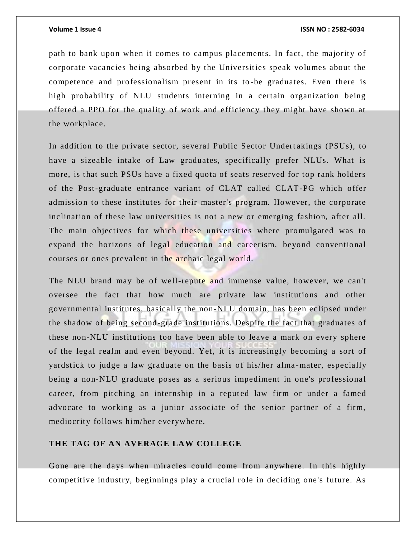path to bank upon when it comes to campus placements. In fact, the majority of corporate vacancies being absorbed by the Universities speak volumes about the competence and professionalism present in its to -be graduates. Even there is high probability of NLU students interning in a certain organization being offered a PPO for the quality of work and efficiency they might have shown at the workplace.

In addition to the private sector, several Public Sector Undert akings (PSUs), to have a sizeable intake of Law graduates, specifically prefer NLUs. What is more, is that such PSUs have a fixed quota of seats reserved for top rank holders of the Post-graduate entrance variant of CLAT called CLAT-PG which offer admission to these institutes for their master's program. However, the corporate inclination of these law universities is not a new or emerging fashion, after all. The main objectives for which these universities where promulgated was to expand the horizons of legal education and careerism, beyond conventional courses or ones prevalent in the archaic legal world.

The NLU brand may be of well-repute and immense value, however, we can't oversee the fact that how much are private law institutions and other governmental institutes, basically the non-NLU domain, has been eclipsed under the shadow of being second-grade institutions. Despite the fact that graduates of these non-NLU institutions too have been able to leave a mark on every sphere of the legal realm and even beyond. Yet, it is increasingly becoming a sort of yardstick to judge a law graduate on the basis of his/her alma -mater, especially being a non-NLU graduate poses as a serious impediment in one's professional career, from pitching an internship in a reputed law firm or under a famed advocate to working as a junior associate of the senior partner of a firm, mediocrity follows him/her everywhere.

# **THE TAG OF AN AVERAGE LAW COLLEGE**

Gone are the days when miracles could come from anywhere. In this highly competitive industry, beginnings play a crucial role in deciding one's future. As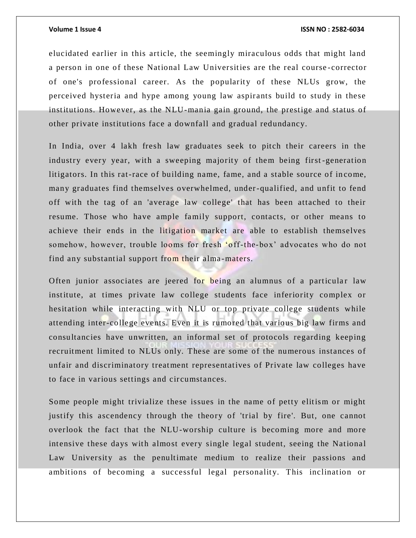elucidated earlier in this article, the seemingly miraculous odds that might land a person in one of these National Law Universities are the real course -corrector of one's professional career. As the popularity of these NLUs grow, the perceived hysteria and hype among young law aspirants build to study in these institutions. However, as the NLU-mania gain ground, the prestige and status of other private institutions face a downfall and gradual redundancy.

In India, over 4 lakh fresh law graduates seek to pitch their careers in the industry every year, with a sweeping majority of them being first -generation litigators. In this rat-race of building name, fame, and a stable source of income, many graduates find themselves overwhelmed, under-qualified, and unfit to fend off with the tag of an 'average law college' that has been attached to their resume. Those who have ample family support, contacts, or other means to achieve their ends in the litigation market are able to establish themselves somehow, however, trouble looms for fresh 'off-the-box' advocates who do not find any substantial support from their alma-maters.

Often junior associates are jeered for being an alumnus of a particular law institute, at times private law college students face inferiority complex or hesitation while interacting with NLU or top private college students while attending inter-college events. Even it is rumored that various big law firms and consultancies have unwritten, an informal set of protocols regarding keeping recruitment limited to NLUs only. These are some of the numerous instances of unfair and discriminatory treatment representatives of Private law colleges have to face in various settings and circumstances.

Some people might trivialize these issues in the name of petty elitism or might justify this ascendency through the theory of 'trial by fire'. But, one cannot overlook the fact that the NLU-worship culture is becoming more and more intensive these days with almost every single legal student, seeing the National Law University as the penultimate medium to realize their passions and ambitions of becoming a successful legal personality. This inclination or